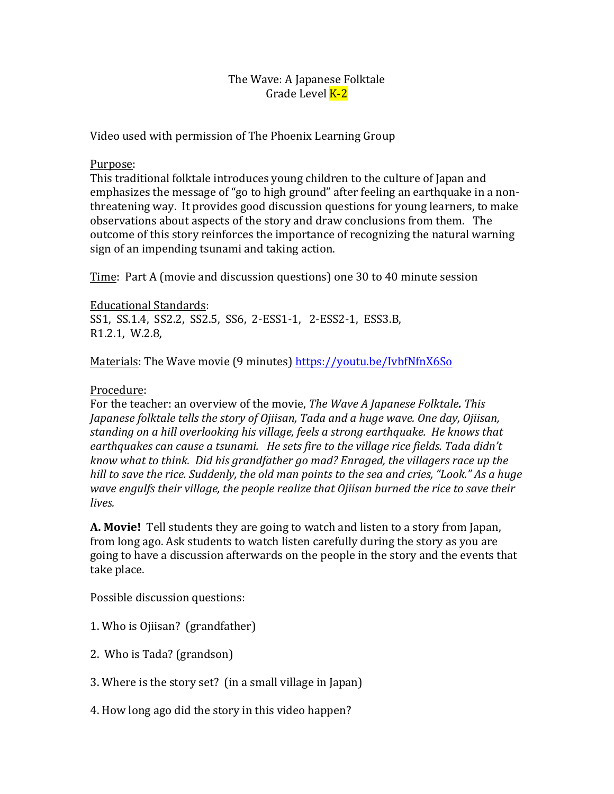## The Wave: A Japanese Folktale Grade Level **K-2**

Video used with permission of The Phoenix Learning Group

## Purpose:

This traditional folktale introduces young children to the culture of Japan and emphasizes the message of "go to high ground" after feeling an earthquake in a nonthreatening way. It provides good discussion questions for young learners, to make observations about aspects of the story and draw conclusions from them. The outcome of this story reinforces the importance of recognizing the natural warning sign of an impending tsunami and taking action.

Time: Part A (movie and discussion questions) one 30 to 40 minute session

Educational Standards:

SS1, SS.1.4, SS2.2, SS2.5, SS6, 2-ESS1-1, 2-ESS2-1, ESS3.B,  $R1.2.1$ , W.2.8,

Materials: The Wave movie (9 minutes) https://youtu.be/IvbfNfnX6So

## Procedure:

For the teacher: an overview of the movie, *The Wave A Japanese Folktale. This Japanese folktale tells the story of Ojiisan, Tada and a huge wave. One day, Ojiisan,* standing on a hill overlooking his village, feels a strong earthquake. He knows that earthquakes can cause a tsunami. He sets fire to the village rice fields. Tada didn't *know* what to think. Did his grandfather go mad? Enraged, the villagers race up the *hill* to save the rice. Suddenly, the old man points to the sea and cries, "Look." As a huge *wave engulfs their village, the people realize that Ojiisan burned the rice to save their lives.*

**A. Movie!** Tell students they are going to watch and listen to a story from Japan, from long ago. Ask students to watch listen carefully during the story as you are going to have a discussion afterwards on the people in the story and the events that take place.

Possible discussion questions:

- 1. Who is Ojiisan? (grandfather)
- 2. Who is Tada? (grandson)
- 3. Where is the story set? (in a small village in Japan)
- 4. How long ago did the story in this video happen?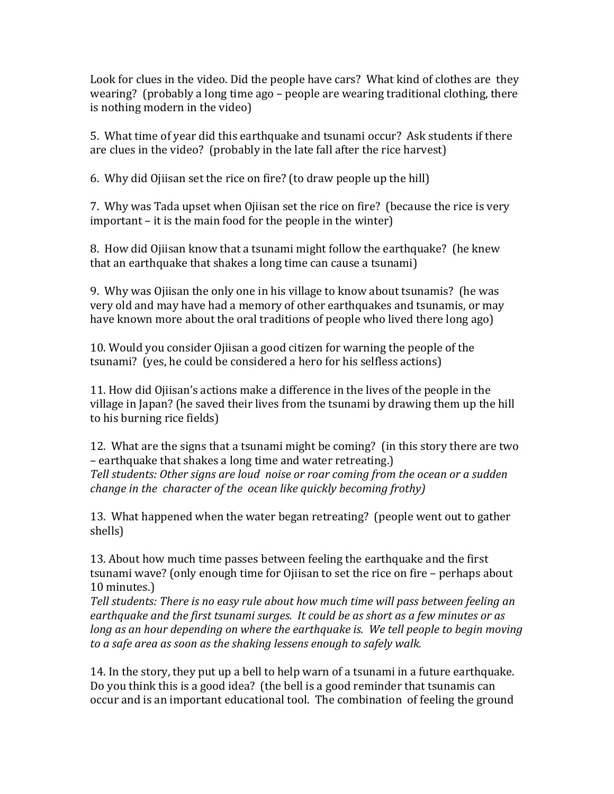Look for clues in the video. Did the people have cars? What kind of clothes are they wearing? (probably a long time ago – people are wearing traditional clothing, there is nothing modern in the video)

5. What time of year did this earthquake and tsunami occur? Ask students if there are clues in the video? (probably in the late fall after the rice harvest)

6. Why did Ojiisan set the rice on fire? (to draw people up the hill)

7. Why was Tada upset when Ojiisan set the rice on fire? (because the rice is very  $important - it is the main food for the people in the winter)$ 

8. How did Ojiisan know that a tsunami might follow the earthquake? (he knew that an earthquake that shakes a long time can cause a tsunami)

9. Why was Ojiisan the only one in his village to know about tsunamis? (he was very old and may have had a memory of other earthquakes and tsunamis, or may have known more about the oral traditions of people who lived there long ago)

10. Would you consider Ojiisan a good citizen for warning the people of the tsunami? (yes, he could be considered a hero for his selfless actions)

11. How did Ojiisan's actions make a difference in the lives of the people in the village in Japan? (he saved their lives from the tsunami by drawing them up the hill to his burning rice fields)

12. What are the signs that a tsunami might be coming? (in this story there are two – earthquake that shakes a long time and water retreating.) Tell students: Other signs are loud noise or roar coming from the ocean or a sudden *change* in the character of the ocean like quickly becoming frothy)

13. What happened when the water began retreating? (people went out to gather shells)

13. About how much time passes between feeling the earthquake and the first tsunami wave? (only enough time for Ojiisan to set the rice on fire – perhaps about 10 minutes.)

Tell students: There is no easy rule about how much time will pass between feeling an *earthquake and the first tsunami surges. It could be as short as a few minutes or as long as an hour depending on where the earthquake is. We tell people to begin moving* to a safe area as soon as the shaking lessens enough to safely walk.

14. In the story, they put up a bell to help warn of a tsunami in a future earthquake. Do you think this is a good idea? (the bell is a good reminder that tsunamis can occur and is an important educational tool. The combination of feeling the ground